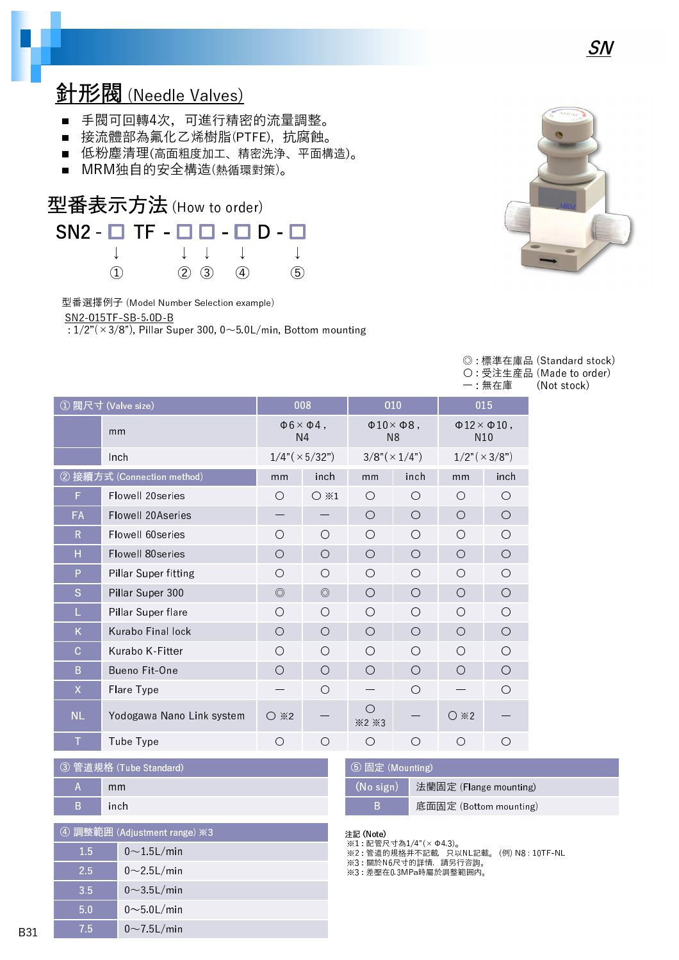## 針形閥 (Needle Valves)

- 手閥可回轉4次, 可進行精密的流量調整。
- 接流體部為氟化乙烯樹脂(PTFE), 抗腐蝕。
- 低粉塵清理(高面粗度加工、精密洗浄、平面構造)。
- MRM独自的安全構造(熱循環對策)。



型番選擇例子 (Model Number Selection example)

SN2-015TF-SB-5.0D-B

 $\frac{1}{2}$ : 1/2"(×3/8"), Pillar Super 300, 0~5.0L/min, Bottom mounting



SN

|  |       | ◎:標準在庫品 (Standard stock)  |
|--|-------|---------------------------|
|  |       | ○ : 受注生産品 (Made to order) |
|  | 一 無在庫 | (Not stock)               |

|                    |                            |                                               |                 |                                            |            |                                                  | ,卅1工/早     |
|--------------------|----------------------------|-----------------------------------------------|-----------------|--------------------------------------------|------------|--------------------------------------------------|------------|
| ① 閥尺寸 (Valve size) |                            | 008                                           |                 | 010                                        |            | 015                                              |            |
|                    | mm                         | $\Phi$ 6 $\times$ $\Phi$ 4,<br>N <sub>4</sub> |                 | $\Phi$ 10 $\times$ $\Phi$ 8,<br>N8         |            | $\Phi$ 12 $\times$ $\Phi$ 10,<br>N <sub>10</sub> |            |
|                    | Inch                       | $1/4$ " ( $\times$ 5/32")                     |                 | $3/8"(\times 1/4")$                        |            | $1/2$ " ( $\times$ 3/8")                         |            |
|                    | 2 接續方式 (Connection method) | mm                                            | inch            | mm                                         | inch       | mm                                               | inch       |
| F                  | Flowell 20series           | $\bigcirc$                                    | $\bigcirc$ $*1$ | Ω                                          | O          | $\bigcirc$                                       | O          |
| <b>FA</b>          | Flowell 20Aseries          |                                               |                 | Ω                                          | O          | O                                                | $\bigcirc$ |
| $\mathsf{R}$       | Flowell 60series           | O                                             | $\circ$         | Ω                                          | Ω          | Ω                                                | О          |
| Н                  | Flowell 80series           | O                                             | $\circ$         | O                                          | O          | O                                                | $\bigcirc$ |
| P                  | Pillar Super fitting       | O                                             | $\circ$         | Ω                                          | O          | Ω                                                | О          |
| S                  | Pillar Super 300           | $\circledcirc$                                | $\circledcirc$  | Ω                                          | O          | O                                                | $\bigcirc$ |
| L                  | Pillar Super flare         | O                                             | $\circ$         | Ω                                          | Ω          | Ω                                                | O          |
| K                  | Kurabo Final lock          | O                                             | $\circ$         | Ω                                          | O          | O                                                | O          |
| $\mathbf C$        | Kurabo K-Fitter            | $\bigcirc$                                    | $\circ$         | ∩                                          | O          | ◯                                                | O          |
| B                  | Bueno Fit-One              | $\bigcirc$                                    | $\bigcirc$      | O                                          | $\bigcirc$ | O                                                | O          |
| $\mathsf{X}$       | Flare Type                 |                                               | $\bigcirc$      |                                            | O          |                                                  | Ω          |
| <b>NL</b>          | Yodogawa Nano Link system  | $\bigcirc$ $\divideontimes$ 2                 |                 | ◯<br>$\divideontimes$ 2 $\divideontimes$ 3 |            | $\bigcirc$ *2                                    |            |
| Т                  | Tube Type                  | О                                             | O               | Ω                                          | О          | Ω                                                | Ω          |

| 3 管道規格 (Tube Standard) |       |  |  |  |
|------------------------|-------|--|--|--|
| A                      | mm    |  |  |  |
| B                      | ∖inch |  |  |  |
|                        |       |  |  |  |

| 4 調整範囲 (Adjustment range) ※3 |                  |  |  |  |
|------------------------------|------------------|--|--|--|
| 1.5                          | $0\sim$ 15L/min  |  |  |  |
| 2.5                          | $0\sim$ 2.5L/min |  |  |  |
| 3.5                          | $0\sim$ 3.5L/min |  |  |  |
| 5.0                          | $0$ ~5 0L/min    |  |  |  |
| 7.5                          | $0\sim$ 7.5L/min |  |  |  |

| 5 固定 (Mounting) |                        |  |  |  |
|-----------------|------------------------|--|--|--|
| (No sign)       | 法蘭固定 (Flange mounting) |  |  |  |
| B               | 底面固定 (Bottom mounting) |  |  |  |

#### 注記 (Note)

※1 : 配管尺寸為1/4"(×Φ4.3)。 ※2 : 管道的規格并不記載,只以NL記載。 (例) N8 : 10TF-NL

※3 : 關於N6尺寸的詳情,請另行咨詢。

※3 : 差壓在0.3MPa時屬於調整範囲内。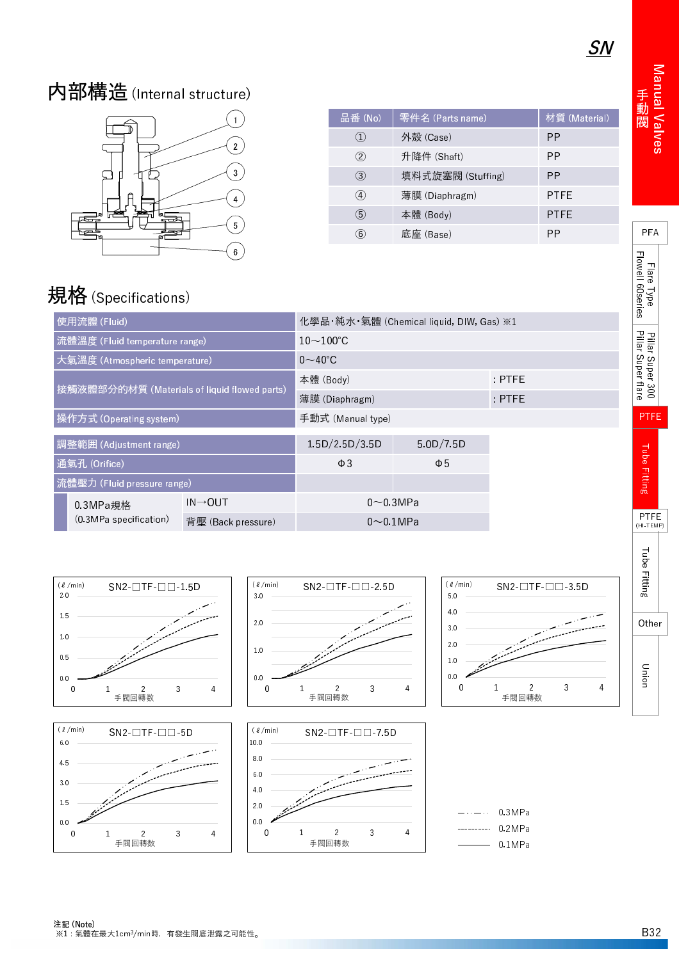Manual Valve 動 閥

PFA

- lare I vo F low e l l 6 0 s e r ie s

l Pillar Super 30 l Pillar Super tar

PTFE

i ube Fittin

PTFE (HI-TEMP)

# 内部構造(Internal structure)



| 零件名 (Parts name)  | 材質 (Material) |
|-------------------|---------------|
| 外殼 (Case)         | РP            |
| 升降件 (Shaft)       | РP            |
| 填料式旋塞閥 (Stuffing) | PP            |
| 薄膜 (Diaphragm)    | PTFE          |
| 本體 (Body)         | PTFE          |
| 底座 (Base)         | РP            |
|                   |               |

# 規格 (Specifications)

| 使用流體 (Fluid)                                 |                        |                      | 化學品・純水・氣體 (Chemical liquid, DIW, Gas) ※1 |           |            |  |
|----------------------------------------------|------------------------|----------------------|------------------------------------------|-----------|------------|--|
| 流體溫度 (Fluid temperature range)               |                        |                      | $10\!\sim\!100\textdegree C$             |           |            |  |
| 大氣溫度 (Atmospheric temperature)               |                        |                      | $0\sim$ 40°C                             |           |            |  |
| 接觸液體部分的材質 (Materials of liquid flowed parts) |                        |                      | 本體 (Body)                                | $:$ PTFE  |            |  |
|                                              |                        |                      | 薄膜 (Diaphragm)                           |           | $E$ : PTFE |  |
| 操作方式 (Operating system)                      |                        |                      | 手動式 (Manual type)                        |           |            |  |
| 調整範囲 (Adjustment range)                      |                        |                      | 1.5D/2.5D/3.5D                           | 5.0D/7.5D |            |  |
| 通氣孔 (Orifice)                                |                        |                      | $\Phi$ 3                                 | $\Phi$ 5  |            |  |
| 流體壓力 (Fluid pressure range)                  |                        |                      |                                          |           |            |  |
|                                              | 0.3MPa規格               | $IN \rightarrow OUT$ | $0\sim$ 0.3MPa                           |           |            |  |
|                                              | (0.3MPa specification) | 背壓 (Back pressure)   | $0\sim 0.1$ MPa                          |           |            |  |

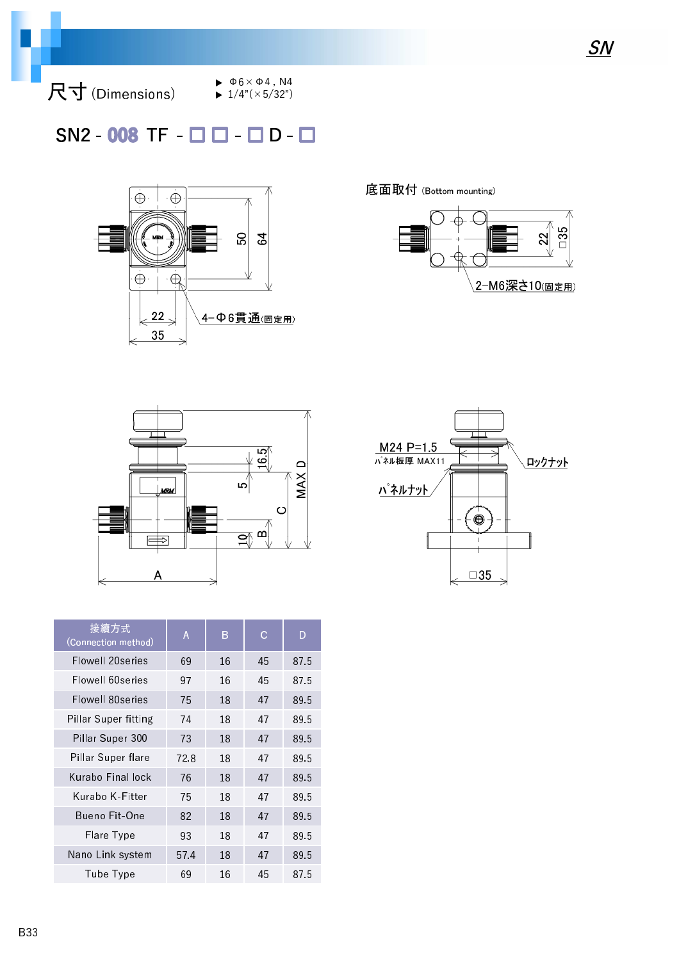尺寸 (Dimensions)

 $\blacktriangleright$   $\Phi$ 6  $\times$   $\Phi$ 4, N4  $\blacktriangleright$  1/4"( $\times$ 5/32")

#### $SN2 - 008$  TF -  $\Box$   $\Box$  -  $\Box$  D -  $\Box$



底面取付 (Bottom mounting)







| 接續方式<br>(Connection method) | A    | B  | C. | D    |
|-----------------------------|------|----|----|------|
| Flowell 20series            | 69   | 16 | 45 | 87.5 |
| Flowell 60series            | 97   | 16 | 45 | 875  |
| Flowell 80series            | 75   | 18 | 47 | 89.5 |
| Pillar Super fitting        | 74   | 18 | 47 | 89.5 |
| Pillar Super 300            | 73   | 18 | 47 | 89.5 |
| Pillar Super flare          | 72.8 | 18 | 47 | 89.5 |
| Kurabo Final lock           | 76   | 18 | 47 | 89.5 |
| Kurabo K-Fitter             | 75   | 18 | 47 | 89.5 |
| Bueno Fit-One               | 82   | 18 | 47 | 89.5 |
| Flare Type                  | 93   | 18 | 47 | 89.5 |
| Nano Link system            | 57.4 | 18 | 47 | 89.5 |
| Tube Type                   | 69   | 16 | 45 | 87.5 |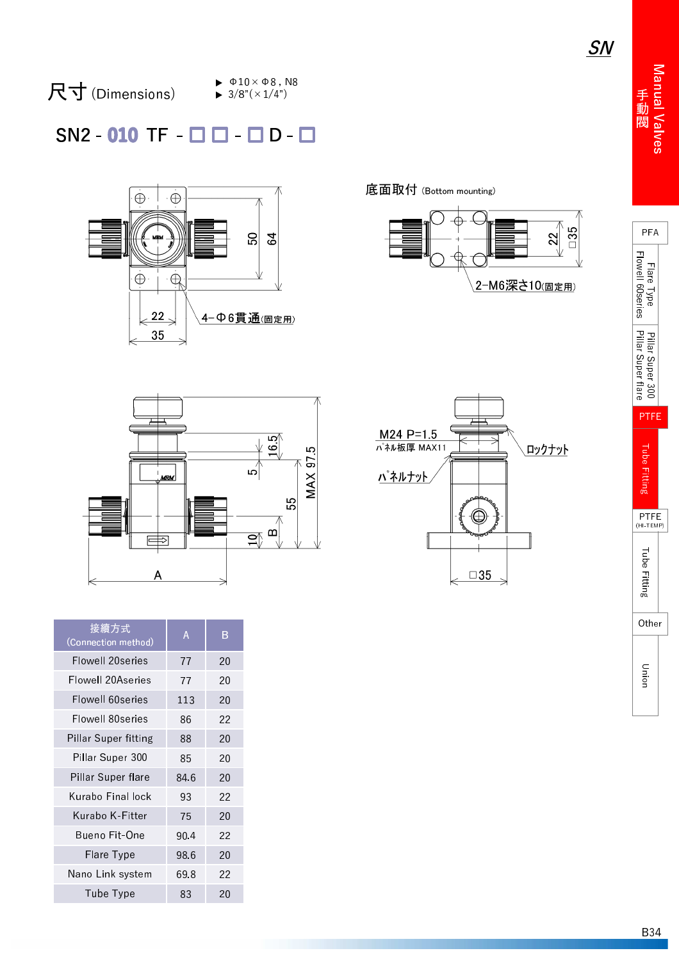SN



#### 尺 寸 (Dimensions)

 $\blacktriangleright$   $\Phi$ 10  $\times$   $\Phi$ 8, N8  $\blacktriangleright$  3/8"( $\times$ 1/4")

## $SN2 - 010$  TF  $\Box$   $\Box$   $\Box$   $D$  -



底面取付 (Bottom mounting)





| 接續方式<br>(Connection method) | Α    | B  |
|-----------------------------|------|----|
| Flowell 20series            | 77   | 20 |
| Flowell 20Aseries           | 77   | 20 |
| Flowell 60series            | 113  | 20 |
| Flowell 80series            | 86   | 22 |
| Pillar Super fitting        | 88   | 20 |
| Pillar Super 300            | 85   | 20 |
| Pillar Super flare          | 84 6 | 20 |
| Kurabo Final lock           | 93   | 22 |
| Kurabo K-Fitter             | 75   | 20 |
| Bueno Fit-One               | 90.4 | 22 |
| Flare Type                  | 98.6 | 20 |
| Nano Link system            | 69.8 | 22 |
| Tube Type                   | 83   | 20 |

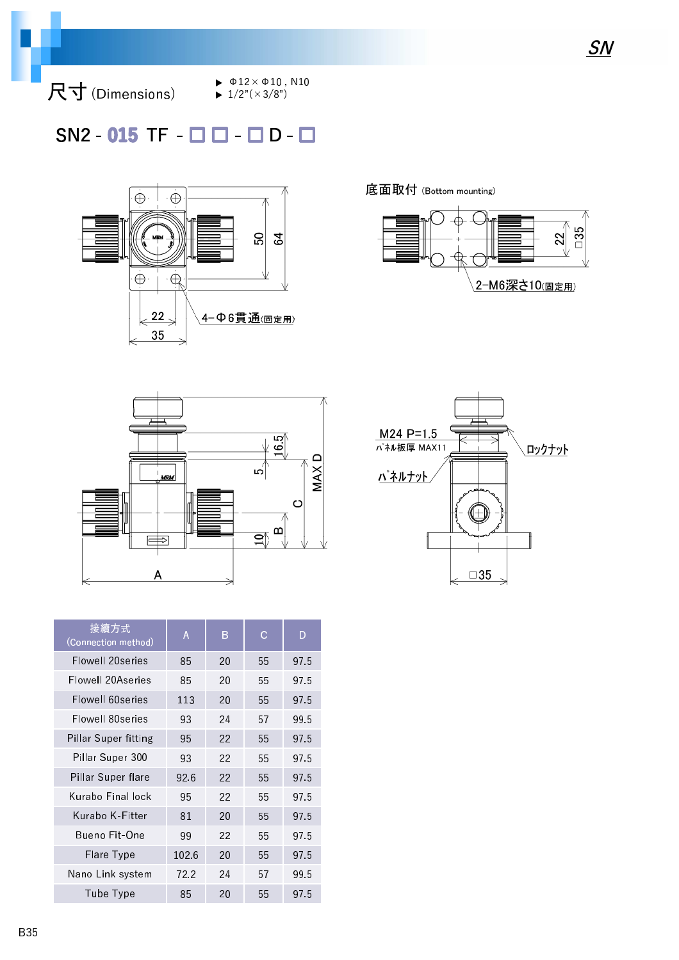尺寸 (Dimensions)

 $\blacktriangleright$   $\Phi$ 12× $\Phi$ 10, N10

 $\blacktriangleright$  1/2"( $\times$ 3/8")

### $SN2 - 015$  TF  $\Box$   $\Box$   $\Box$   $D - \Box$



底面取付 (Bottom mounting)







| 接續方式<br>(Connection method) | Α     | B  | C  | D    |
|-----------------------------|-------|----|----|------|
| Flowell 20series            | 85    | 20 | 55 | 975  |
| Flowell 20Aseries           | 85    | 20 | 55 | 975  |
| Flowell 60series            | 113   | 20 | 55 | 975  |
| Flowell 80series            | 93    | 24 | 57 | 99.5 |
| Pillar Super fitting        | 95    | 22 | 55 | 97.5 |
| Pillar Super 300            | 93    | 22 | 55 | 975  |
| Pillar Super flare          | 926   | 22 | 55 | 975  |
| Kurabo Final lock           | 95    | 22 | 55 | 975  |
| Kurabo K-Fitter             | 81    | 20 | 55 | 975  |
| Bueno Fit-One               | 99    | 22 | 55 | 975  |
| Flare Type                  | 102.6 | 20 | 55 | 97.5 |
| Nano Link system            | 72.2  | 24 | 57 | 99.5 |
| Tube Type                   | 85    | 20 | 55 | 97.5 |